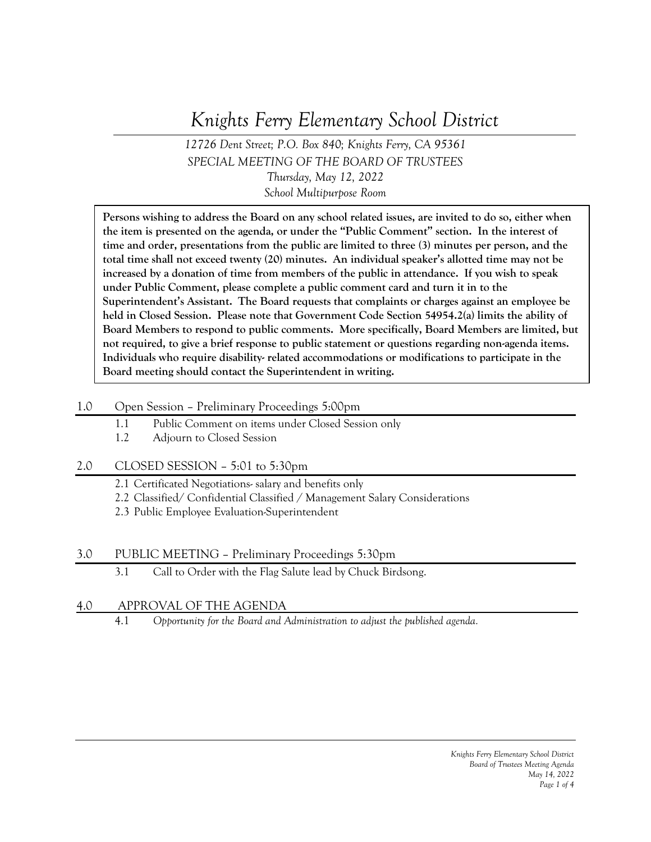# *Knights Ferry Elementary School District*

*12726 Dent Street; P.O. Box 840; Knights Ferry, CA 95361 SPECIAL MEETING OF THE BOARD OF TRUSTEES Thursday, May 12, 2022 School Multipurpose Room*

**Persons wishing to address the Board on any school related issues, are invited to do so, either when the item is presented on the agenda, or under the "Public Comment" section. In the interest of time and order, presentations from the public are limited to three (3) minutes per person, and the total time shall not exceed twenty (20) minutes. An individual speaker's allotted time may not be increased by a donation of time from members of the public in attendance. If you wish to speak under Public Comment, please complete a public comment card and turn it in to the Superintendent's Assistant. The Board requests that complaints or charges against an employee be held in Closed Session. Please note that Government Code Section 54954.2(a) limits the ability of Board Members to respond to public comments. More specifically, Board Members are limited, but not required, to give a brief response to public statement or questions regarding non-agenda items. Individuals who require disability- related accommodations or modifications to participate in the Board meeting should contact the Superintendent in writing.**

## 1.0 Open Session – Preliminary Proceedings 5:00pm

- 1.1 Public Comment on items under Closed Session only
- 1.2 Adjourn to Closed Session

## 2.0 CLOSED SESSION – 5:01 to 5:30pm

- 2.1 Certificated Negotiations- salary and benefits only
- 2.2 Classified/ Confidential Classified / Management Salary Considerations
- 2.3 Public Employee Evaluation-Superintendent

## 3.0 PUBLIC MEETING – Preliminary Proceedings 5:30pm

3.1 Call to Order with the Flag Salute lead by Chuck Birdsong.

# 4.0 APPROVAL OF THE AGENDA

4.1 *Opportunity for the Board and Administration to adjust the published agenda.*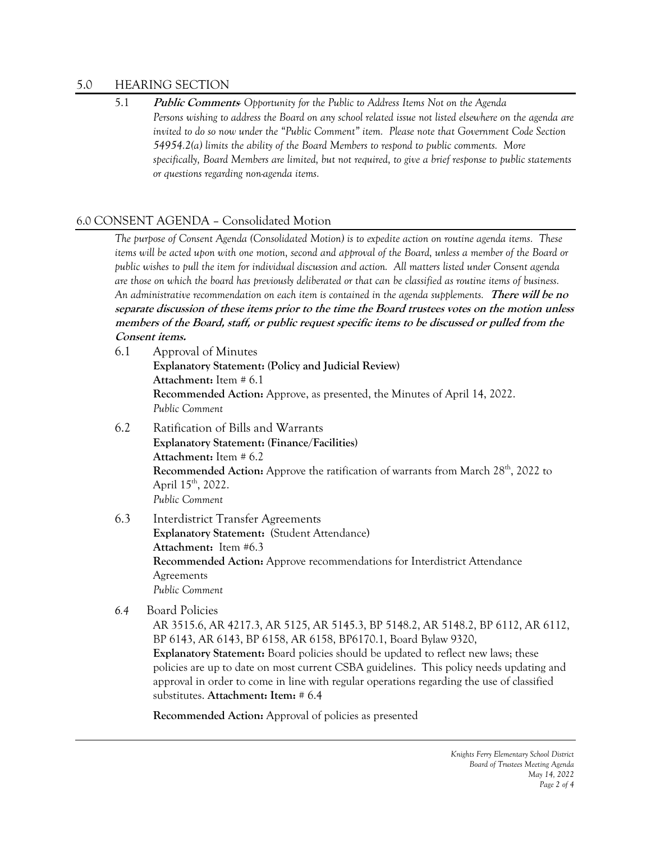#### 5.0 HEARING SECTION

5.1 **Public Comments***- Opportunity for the Public to Address Items Not on the Agenda Persons wishing to address the Board on any school related issue not listed elsewhere on the agenda are invited to do so now under the "Public Comment" item. Please note that Government Code Section 54954.2(a) limits the ability of the Board Members to respond to public comments. More specifically, Board Members are limited, but not required, to give a brief response to public statements or questions regarding non-agenda items.*

#### 6.0 CONSENT AGENDA – Consolidated Motion

*The purpose of Consent Agenda (Consolidated Motion) is to expedite action on routine agenda items. These items will be acted upon with one motion, second and approval of the Board, unless a member of the Board or public wishes to pull the item for individual discussion and action. All matters listed under Consent agenda are those on which the board has previously deliberated or that can be classified as routine items of business. An administrative recommendation on each item is contained in the agenda supplements.* **There will be no separate discussion of these items prior to the time the Board trustees votes on the motion unless members of the Board, staff, or public request specific items to be discussed or pulled from the Consent items.**

- 6.1 Approval of Minutes **Explanatory Statement: (Policy and Judicial Review) Attachment:** Item # 6.1 **Recommended Action:** Approve, as presented, the Minutes of April 14, 2022. *Public Comment*
- 6.2 Ratification of Bills and Warrants **Explanatory Statement: (Finance/Facilities) Attachment:** Item # 6.2 **Recommended Action:** Approve the ratification of warrants from March 28<sup>th</sup>, 2022 to April  $15^{th}$ , 2022. *Public Comment*

## 6.3 Interdistrict Transfer Agreements

**Explanatory Statement:** (Student Attendance) **Attachment:** Item #6.3 **Recommended Action:** Approve recommendations for Interdistrict Attendance Agreements *Public Comment*

 *6.4* Board Policies

AR 3515.6, AR 4217.3, AR 5125, AR 5145.3, BP 5148.2, AR 5148.2, BP 6112, AR 6112, BP 6143, AR 6143, BP 6158, AR 6158, BP6170.1, Board Bylaw 9320, **Explanatory Statement:** Board policies should be updated to reflect new laws; these policies are up to date on most current CSBA guidelines. This policy needs updating and approval in order to come in line with regular operations regarding the use of classified substitutes. **Attachment: Item:** # 6.4

**Recommended Action:** Approval of policies as presented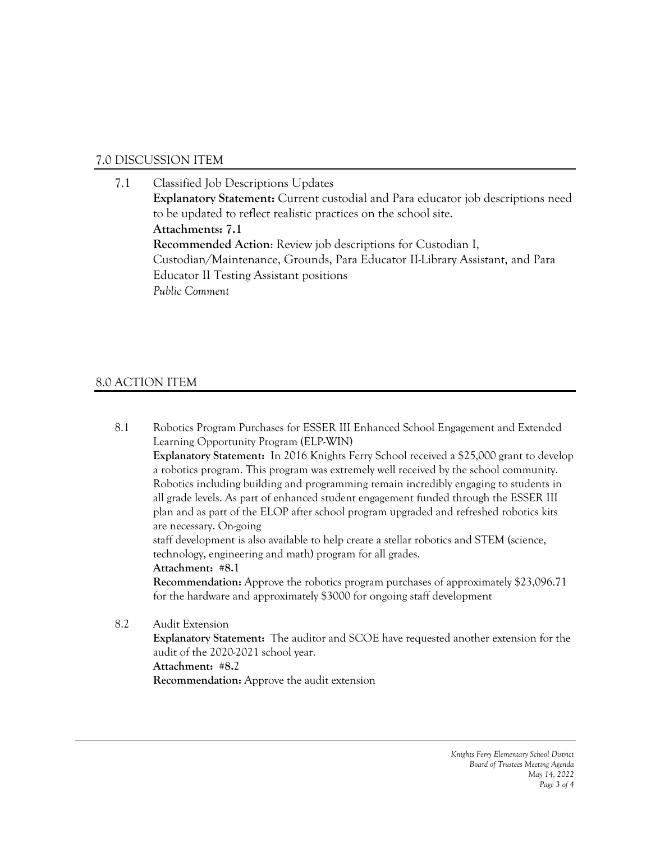# 7.0 DISCUSSION ITEM

## 7.1 Classified Job Descriptions Updates **Explanatory Statement:** Current custodial and Para educator job descriptions need to be updated to reflect realistic practices on the school site. **Attachments: 7.1 Recommended Action**: Review job descriptions for Custodian I, Custodian/Maintenance, Grounds, Para Educator II-Library Assistant, and Para Educator II Testing Assistant positions *Public Comment*

# 8.0 ACTION ITEM

8.1 Robotics Program Purchases for ESSER III Enhanced School Engagement and Extended Learning Opportunity Program (ELP-WIN) **Explanatory Statement:** In 2016 Knights Ferry School received a \$25,000 grant to develop a robotics program. This program was extremely well received by the school community. Robotics including building and programming remain incredibly engaging to students in all grade levels. As part of enhanced student engagement funded through the ESSER III plan and as part of the ELOP after school program upgraded and refreshed robotics kits are necessary. On-going staff development is also available to help create a stellar robotics and STEM (science, technology, engineering and math) program for all grades. **Attachment: #8.**1 **Recommendation:** Approve the robotics program purchases of approximately \$23,096.71 for the hardware and approximately \$3000 for ongoing staff development 8.2 Audit Extension **Explanatory Statement:** The auditor and SCOE have requested another extension for the audit of the 2020-2021 school year.

**Attachment: #8.**2 **Recommendation:** Approve the audit extension